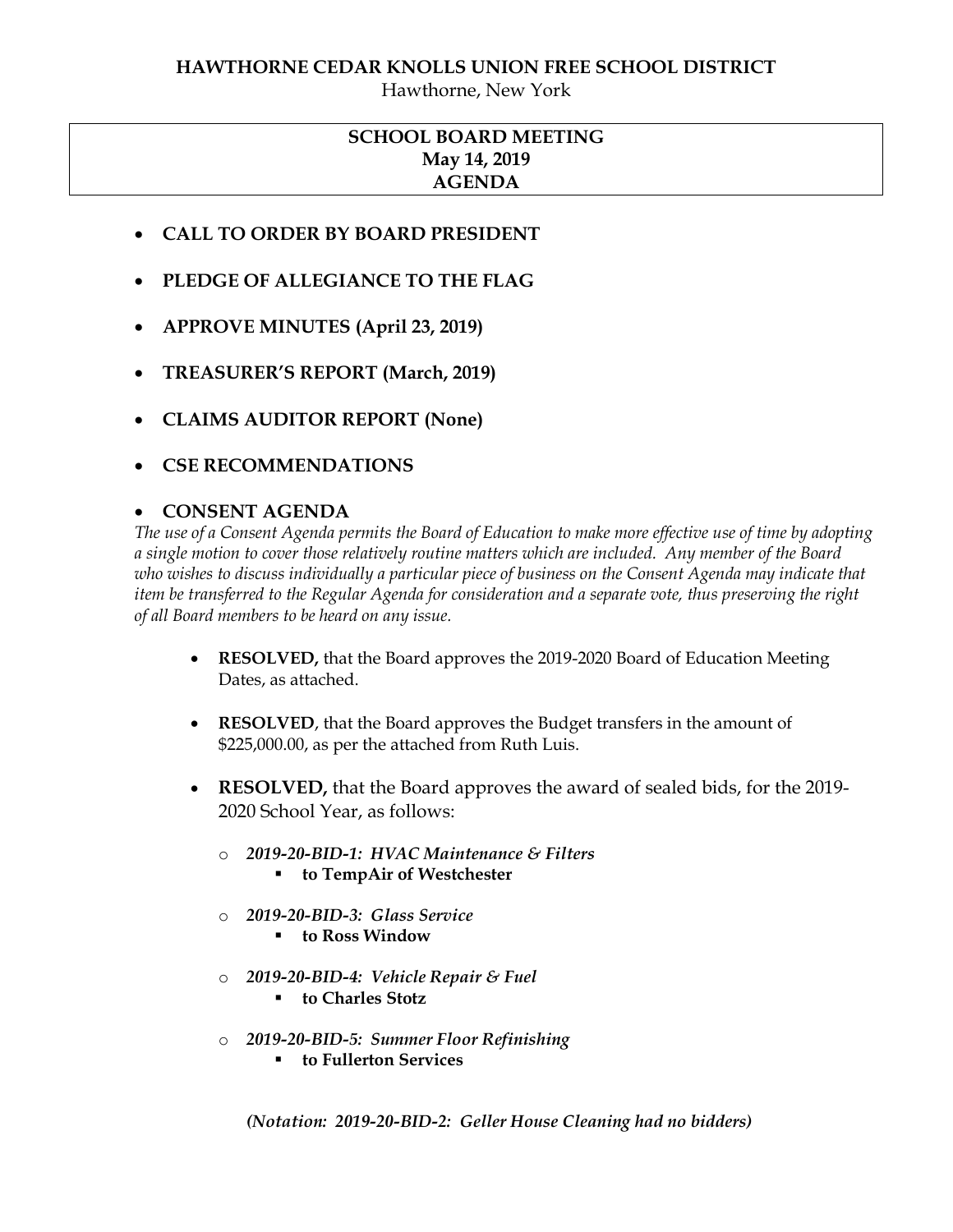### **HAWTHORNE CEDAR KNOLLS UNION FREE SCHOOL DISTRICT**

Hawthorne, New York

# **SCHOOL BOARD MEETING May 14, 2019 AGENDA**

- **CALL TO ORDER BY BOARD PRESIDENT**
- **PLEDGE OF ALLEGIANCE TO THE FLAG**
- **APPROVE MINUTES (April 23, 2019)**
- **TREASURER'S REPORT (March, 2019)**
- **CLAIMS AUDITOR REPORT (None)**
- **CSE RECOMMENDATIONS**

### **CONSENT AGENDA**

*The use of a Consent Agenda permits the Board of Education to make more effective use of time by adopting a single motion to cover those relatively routine matters which are included. Any member of the Board who wishes to discuss individually a particular piece of business on the Consent Agenda may indicate that item be transferred to the Regular Agenda for consideration and a separate vote, thus preserving the right of all Board members to be heard on any issue.* 

- **RESOLVED,** that the Board approves the 2019-2020 Board of Education Meeting Dates, as attached.
- **RESOLVED**, that the Board approves the Budget transfers in the amount of \$225,000.00, as per the attached from Ruth Luis.
- **RESOLVED,** that the Board approves the award of sealed bids, for the 2019- 2020 School Year, as follows:
	- o *2019-20-BID-1: HVAC Maintenance & Filters*  **to TempAir of Westchester**
	- o *2019-20-BID-3: Glass Service*
		- **to Ross Window**
	- o *2019-20-BID-4: Vehicle Repair & Fuel*
		- **to Charles Stotz**
	- o *2019-20-BID-5: Summer Floor Refinishing*
		- **to Fullerton Services**

*(Notation: 2019-20-BID-2: Geller House Cleaning had no bidders)*